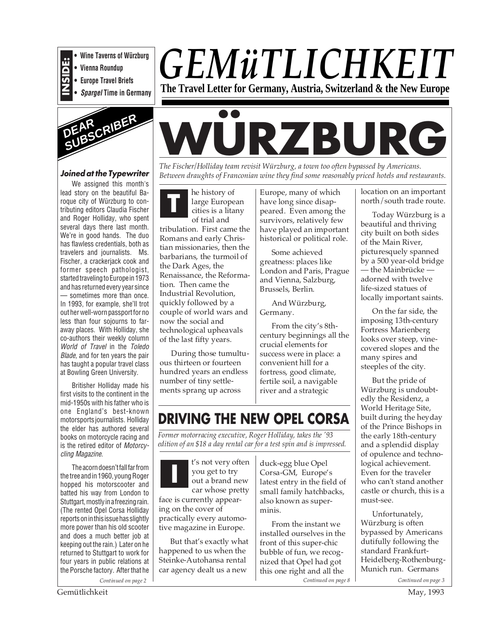

- **Vienna Roundup**
- **Europe Travel Briefs**
- **Spargel Time in Germany**



#### **Joined at the Typewriter**

We assigned this month's lead story on the beautiful Baroque city of Würzburg to contributing editors Claudia Fischer and Roger Holliday, who spent several days there last month. We're in good hands. The duo has flawless credentials, both as travelers and journalists. Ms. Fischer, a crackerjack cook and former speech pathologist, started traveling to Europe in 1973 and has returned every year since — sometimes more than once. In 1993, for example, she'll trot out her well-worn passport for no less than four sojourns to faraway places. With Holliday, she co-authors their weekly column World of Travel in the Toledo Blade, and for ten years the pair has taught a popular travel class at Bowling Green University.

Britisher Holliday made his first visits to the continent in the mid-1950s with his father who is one England's best-known motorsports journalists. Holliday the elder has authored several books on motorcycle racing and is the retired editor of Motorcycling Magazine.

The acorn doesn't fall far from the tree and in 1960, young Roger hopped his motorscooter and batted his way from London to Stuttgart, mostly in a freezing rain. (The rented Opel Corsa Holliday reports on in this issue has slightly more power than his old scooter and does a much better job at keeping out the rain.) Later on he returned to Stuttgart to work for four years in public relations at the Porsche factory. After that he

# *GEMüTLICHKEIT* **The Travel Letter for Germany, Austria, Switzerland & the New Europe**

# **WÜRZBURG**

*The Fischer/Holliday team revisit Würzburg, a town too often bypassed by Americans. Between draughts of Franconian wine they find some reasonably priced hotels and restaurants.*

he history of large European cities is a litany of trial and **T**

tribulation. First came the Romans and early Christian missionaries, then the barbarians, the turmoil of the Dark Ages, the Renaissance, the Reformation. Then came the Industrial Revolution, quickly followed by a couple of world wars and now the social and technological upheavals of the last fifty years.

During those tumultuous thirteen or fourteen hundred years an endless number of tiny settlements sprang up across

Europe, many of which have long since disappeared. Even among the survivors, relatively few have played an important historical or political role.

Some achieved greatness: places like London and Paris, Prague and Vienna, Salzburg, Brussels, Berlin.

And Würzburg, Germany.

From the city's 8thcentury beginnings all the crucial elements for success were in place: a convenient hill for a fortress, good climate, fertile soil, a navigable river and a strategic

## **DRIVING THE NEW OPEL CORSA**

*Former motorracing executive, Roger Holliday, takes the '93 edition of an \$18 a day rental car for a test spin and is impressed.*

t's not very often you get to try out a brand new car whose pretty face is currently appearing on the cover of practically every automotive magazine in Europe. **I**

But that's exactly what happened to us when the Steinke-Autohansa rental car agency dealt us a new

duck-egg blue Opel Corsa-GM, Europe's latest entry in the field of small family hatchbacks, also known as superminis.

From the instant we installed ourselves in the front of this super-chic bubble of fun, we recognized that Opel had got this one right and all the Continued on page  $8$ *Continued on page 2 Continued on page 8 Continued on page 3*

location on an important north/south trade route.

Today Würzburg is a beautiful and thriving city built on both sides of the Main River, picturesquely spanned by a 500 year-old bridge — the Mainbrücke adorned with twelve life-sized statues of locally important saints.

On the far side, the imposing 13th-century Fortress Marienberg looks over steep, vinecovered slopes and the many spires and steeples of the city.

But the pride of Würzburg is undoubtedly the Residenz, a World Heritage Site, built during the heyday of the Prince Bishops in the early 18th-century and a splendid display of opulence and technological achievement. Even for the traveler who can't stand another castle or church, this is a must-see.

Unfortunately, Würzburg is often bypassed by Americans dutifully following the standard Frankfurt-Heidelberg-Rothenburg-Munich run. Germans

Gemütlichkeit May, 1993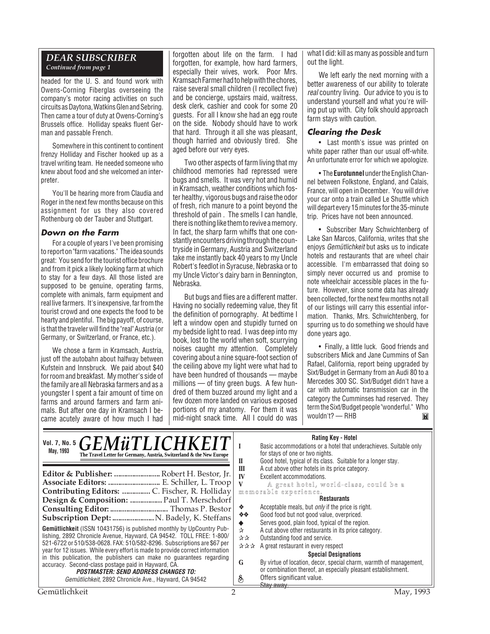## *DEAR SUBSCRIBER*

*Continued from page 1*

headed for the U. S. and found work with Owens-Corning Fiberglas overseeing the company's motor racing activities on such circuits as Daytona, Watkins Glen and Sebring. Then came a tour of duty at Owens-Corning's Brussels office. Holliday speaks fluent German and passable French.

Somewhere in this continent to continent frenzy Holliday and Fischer hooked up as a travel writing team. He needed someone who knew about food and she welcomed an interpreter.

You'll be hearing more from Claudia and Roger in the next few months because on this assignment for us they also covered Rothenburg ob der Tauber and Stuttgart.

#### **Down on the Farm**

For a couple of years I've been promising to report on "farm vacations." The idea sounds great: You send for the tourist office brochure and from it pick a likely looking farm at which to stay for a few days. All those listed are supposed to be genuine, operating farms, complete with animals, farm equipment and real live farmers. It's inexpensive, far from the tourist crowd and one expects the food to be hearty and plentiful. The big payoff, of course, is that the traveler will find the "real" Austria (or Germany, or Switzerland, or France, etc.).

We chose a farm in Kramsach, Austria, just off the autobahn about halfway between Kufstein and Innsbruck. We paid about \$40 for room and breakfast. My mother's side of the family are all Nebraska farmers and as a youngster I spent a fair amount of time on farms and around farmers and farm animals. But after one day in Kramsach I became acutely aware of how much I had

forgotten about life on the farm. I had forgotten, for example, how hard farmers, especially their wives, work. Poor Mrs. Kramsach Farmer had to help with the chores, raise several small children (I recollect five) and be concierge, upstairs maid, waitress, desk clerk, cashier and cook for some 20 guests. For all I know she had an egg route on the side. Nobody should have to work that hard. Through it all she was pleasant, though harried and obviously tired. She aged before our very eyes.

Two other aspects of farm living that my childhood memories had repressed were bugs and smells. It was very hot and humid in Kramsach, weather conditions which foster healthy, vigorous bugs and raise the odor of fresh, rich manure to a point beyond the threshold of pain . The smells I can handle, there is nothing like them to revive a memory. In fact, the sharp farm whiffs that one constantly encounters driving through the countryside in Germany, Austria and Switzerland take me instantly back 40 years to my Uncle Robert's feedlot in Syracuse, Nebraska or to my Uncle Victor's dairy barn in Bennington, Nebraska.

But bugs and flies are a different matter. Having no socially redeeming value, they fit the definition of pornography. At bedtime I left a window open and stupidly turned on my bedside light to read. I was deep into my book, lost to the world when soft, scurrying noises caught my attention. Completely covering about a nine square-foot section of the ceiling above my light were what had to have been hundred of thousands — maybe millions — of tiny green bugs. A few hundred of them buzzed around my light and a few dozen more landed on various exposed portions of my anatomy. For them it was mid-night snack time. All I could do was what I did: kill as many as possible and turn out the light.

We left early the next morning with a better awareness of our ability to tolerate real country living. Our advice to you is to understand yourself and what you're willing put up with. City folk should approach farm stays with caution.

#### **Clearing the Desk**

• Last month's issue was printed on white paper rather than our usual off-white. An unfortunate error for which we apologize.

• The **Eurotunnel** under the English Channel between Folkstone, England, and Calais, France, will open in December. You will drive your car onto a train called Le Shuttle which will depart every 15 minutes for the 35-minute trip. Prices have not been announced.

• Subscriber Mary Schwichtenberg of Lake San Marcos, California, writes that she enjoys Gemütlichkeit but asks us to indicate hotels and restaurants that are wheel chair accessible. I'm embarrassed that doing so simply never occurred us and promise to note wheelchair accessible places in the future. However, since some data has already been collected, for the next few months not all of our listings will carry this essential information. Thanks, Mrs. Schwichtenberg, for spurring us to do something we should have done years ago.

• Finally, a little luck. Good friends and subscribers Mick and Jane Cummins of San Rafael, California, report being upgraded by Sixt/Budget in Germany from an Audi 80 to a Mercedes 300 SC. Sixt/Budget didn't have a car with automatic transmission car in the category the Cumminses had reserved. They term the Sixt/Budget people "wonderful." Who wouldn't? — RHBĬМ

| Rating Key - Hotel |  |  |
|--------------------|--|--|
|--------------------|--|--|

| Vol. 7, No. 5 $GEM\ddot{u}TLICHKEI$<br>May, 1993<br>The Travel Letter for Germany, Austria, Switzerland & the New Europe<br>Editor & Publisher:  Robert H. Bestor, Jr.<br>Associate Editors:  E. Schiller, L. Troop                                                                                                                                                                                                                                                                                                                                                                                                                                                                       | natility New Truttle<br>Basic accommodations or a hotel that underachieves. Suitable only<br>for stays of one or two nights.<br>Good hotel, typical of its class. Suitable for a longer stay.<br>П<br>A cut above other hotels in its price category.<br>Ш<br>IV<br>Excellent accommodations.<br>A great hotel, world-class, could be a<br>memorable experience.                                                                                                                                                                                                              |
|-------------------------------------------------------------------------------------------------------------------------------------------------------------------------------------------------------------------------------------------------------------------------------------------------------------------------------------------------------------------------------------------------------------------------------------------------------------------------------------------------------------------------------------------------------------------------------------------------------------------------------------------------------------------------------------------|-------------------------------------------------------------------------------------------------------------------------------------------------------------------------------------------------------------------------------------------------------------------------------------------------------------------------------------------------------------------------------------------------------------------------------------------------------------------------------------------------------------------------------------------------------------------------------|
| Design & Composition:  Paul T. Merschdorf<br>Consulting Editor:  Thomas P. Bestor<br>Subscription Dept:  N. Badely, K. Steffans<br><b>Gemütlichkeit</b> (ISSN 10431756) is published monthly by UpCountry Pub-<br>lishing, 2892 Chronicle Avenue, Hayward, CA 94542. TOLL FREE: 1-800/<br>521-6722 or 510/538-0628. FAX: 510/582-8296. Subscriptions are \$67 per<br>year for 12 issues. While every effort is made to provide correct information<br>in this publication, the publishers can make no quarantees regarding<br>accuracy. Second-class postage paid in Hayward, CA.<br><b>POSTMASTER: SEND ADDRESS CHANGES TO:</b><br>Gemütlichkeit, 2892 Chronicle Ave., Hayward, CA 94542 | <b>Restaurants</b><br>Acceptable meals, but <i>only</i> if the price is right.<br>❖<br>Good food but not good value, overpriced.<br><b>泰泰</b><br>Serves good, plain food, typical of the region.<br>A cut above other restaurants in its price category.<br>☆<br>Outstanding food and service.<br>☆☆<br>A great restaurant in every respect<br>***<br><b>Special Designations</b><br>By virtue of location, decor, special charm, warmth of management,<br>G<br>or combination thereof, an especially pleasant establishment.<br>Offers significant value.<br>S<br>Stay away. |
| Gemütlichkeit                                                                                                                                                                                                                                                                                                                                                                                                                                                                                                                                                                                                                                                                             | May, 1993                                                                                                                                                                                                                                                                                                                                                                                                                                                                                                                                                                     |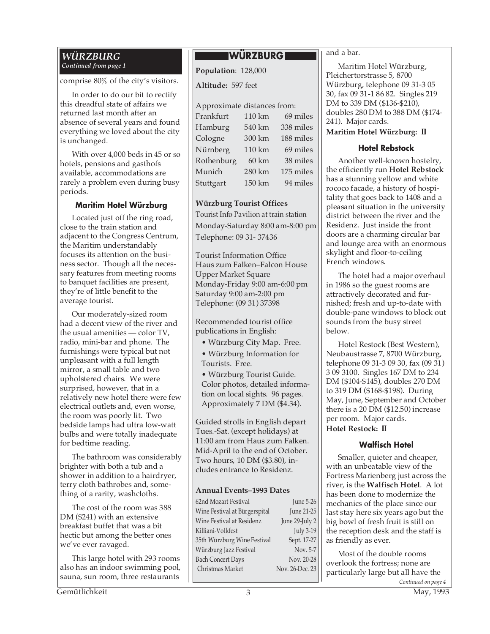#### *WÜRZBURG Continued from page 1*

comprise 80% of the city's visitors.

In order to do our bit to rectify this dreadful state of affairs we returned last month after an absence of several years and found everything we loved about the city is unchanged.

With over 4,000 beds in 45 or so hotels, pensions and gasthofs available, accommodations are rarely a problem even during busy periods.

#### **Maritim Hotel Würzburg**

Located just off the ring road, close to the train station and adjacent to the Congress Centrum, the Maritim understandably focuses its attention on the business sector. Though all the necessary features from meeting rooms to banquet facilities are present, they're of little benefit to the average tourist.

Our moderately-sized room had a decent view of the river and the usual amenities — color TV, radio, mini-bar and phone. The furnishings were typical but not unpleasant with a full length mirror, a small table and two upholstered chairs. We were surprised, however, that in a relatively new hotel there were few electrical outlets and, even worse, the room was poorly lit. Two bedside lamps had ultra low-watt bulbs and were totally inadequate for bedtime reading.

The bathroom was considerably brighter with both a tub and a shower in addition to a hairdryer, terry cloth bathrobes and, something of a rarity, washcloths.

The cost of the room was 388 DM (\$241) with an extensive breakfast buffet that was a bit hectic but among the better ones we've ever ravaged.

This large hotel with 293 rooms also has an indoor swimming pool, sauna, sun room, three restaurants

#### **WÜRZBURG**

**Population**: 128,000

**Altitude:** 597 feet

#### Approximate distances from:

| 110 km | 69 miles  |
|--------|-----------|
| 540 km | 338 miles |
| 300 km | 188 miles |
| 110 km | 69 miles  |
| 60 km  | 38 miles  |
| 280 km | 175 miles |
| 150 km | 94 miles  |
|        |           |

#### **Würzburg Tourist Offices**

Tourist Info Pavilion at train station Monday-Saturday 8:00 am-8:00 pm Telephone: 09 31- 37436

Tourist Information Office Haus zum Falken–Falcon House Upper Market Square Monday-Friday 9:00 am-6:00 pm Saturday 9:00 am-2:00 pm Telephone: (09 31) 37398

Recommended tourist office publications in English:

- Würzburg City Map. Free.
- Würzburg Information for Tourists. Free.

• Würzburg Tourist Guide. Color photos, detailed information on local sights. 96 pages. Approximately 7 DM (\$4.34).

Guided strolls in English depart Tues.-Sat. (except holidays) at 11:00 am from Haus zum Falken. Mid-April to the end of October. Two hours, 10 DM (\$3.80), includes entrance to Residenz.

#### **Annual Events–1993 Dates**

| 62nd Mozart Festival          | <b>June 5-26</b> |
|-------------------------------|------------------|
| Wine Festival at Bürgerspital | June 21-25       |
| Wine Festival at Residenz     | June 29-July 2   |
| Killiani-Volkfest             | <b>July 3-19</b> |
| 35th Würzburg Wine Festival   | Sept. 17-27      |
| Würzburg Jazz Festival        | Nov. 5-7         |
| <b>Bach Concert Days</b>      | Nov. 20-28       |
| Christmas Market              | Nov. 26-Dec. 23  |
|                               |                  |

and a bar.

Maritim Hotel Würzburg, Pleichertorstrasse 5, 8700 Würzburg, telephone 09 31-3 05 30, fax 09 31-1 86 82. Singles 219 DM to 339 DM (\$136-\$210), doubles 280 DM to 388 DM (\$174- 241). Major cards.

**Maritim Hotel Würzburg: II**

#### **Hotel Rebstock**

Another well-known hostelry, the efficiently run **Hotel Rebstock** has a stunning yellow and white rococo facade, a history of hospitality that goes back to 1408 and a pleasant situation in the university district between the river and the Residenz. Just inside the front doors are a charming circular bar and lounge area with an enormous skylight and floor-to-ceiling French windows.

The hotel had a major overhaul in 1986 so the guest rooms are attractively decorated and furnished; fresh and up-to-date with double-pane windows to block out sounds from the busy street below.

Hotel Restock (Best Western), Neubaustrasse 7, 8700 Würzburg, telephone 09 31-3 09 30, fax (09 31) 3 09 3100. Singles 167 DM to 234 DM (\$104-\$145), doubles 270 DM to 319 DM (\$168-\$198). During May, June, September and October there is a 20 DM (\$12.50) increase per room. Major cards. **Hotel Restock: II**

#### **Walfisch Hotel**

Smaller, quieter and cheaper, with an unbeatable view of the Fortress Marienberg just across the river, is the **Walfisch Hotel**. A lot has been done to modernize the mechanics of the place since our last stay here six years ago but the big bowl of fresh fruit is still on the reception desk and the staff is as friendly as ever.

*Continued on page 4* Most of the double rooms overlook the fortress; none are particularly large but all have the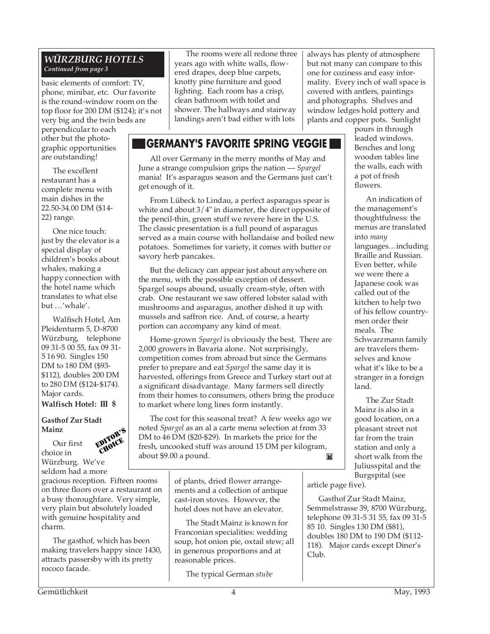#### *WÜRZBURG HOTELS Continued from page 3*

basic elements of comfort: TV, phone, minibar, etc. Our favorite is the round-window room on the top floor for 200 DM (\$124); it's not very big and the twin beds are

perpendicular to each other but the photographic opportunities are outstanding!

The excellent restaurant has a complete menu with main dishes in the 22.50-34.00 DM (\$14- 22) range.

One nice touch: just by the elevator is a special display of children's books about whales, making a happy connection with the hotel name which translates to what else but …'whale'.

Walfisch Hotel, Am Pleidenturm 5, D-8700 Würzburg, telephone 09 31-5 00 55, fax 09 31- 5 16 90. Singles 150 DM to 180 DM (\$93- \$112), doubles 200 DM to 280 DM (\$124-\$174). Major cards. **Walfisch Hotel: III \$**

#### **Gasthof Zur Stadt Mainz**

choice in

Our first Würzburg. We've

EDITOR'S **CHOICE** 

seldom had a more gracious reception. Fifteen rooms on three floors over a restaurant on a busy thoroughfare. Very simple, very plain but absolutely loaded with genuine hospitality and charm.

The gasthof, which has been making travelers happy since 1430, attracts passersby with its pretty rococo facade.

The rooms were all redone three years ago with white walls, flowered drapes, deep blue carpets, knotty pine furniture and good lighting. Each room has a crisp, clean bathroom with toilet and shower. The hallways and stairway landings aren't bad either with lots

### **GERMANY'S FAVORITE SPRING VEGGIE**

All over Germany in the merry months of May and June a strange compulsion grips the nation — *Spargel* mania! It's asparagus season and the Germans just can't get enough of it.

From Lübeck to Lindau, a perfect asparagus spear is white and about 3/4" in diameter, the direct opposite of the pencil-thin, green stuff we revere here in the U.S. The classic presentation is a full pound of asparagus served as a main course with hollandaise and boiled new potatoes. Sometimes for variety, it comes with butter or savory herb pancakes.

But the delicacy can appear just about anywhere on the menu, with the possible exception of dessert. Spargel soups abound, usually cream-style, often with crab. One restaurant we saw offered lobster salad with mushrooms and asparagus, another dished it up with mussels and saffron rice. And, of course, a hearty portion can accompany any kind of meat.

Home-grown *Spargel* is obviously the best. There are 2,000 growers in Bavaria alone. Not surprisingly, competition comes from abroad but since the Germans prefer to prepare and eat *Spargel* the same day it is harvested, offerings from Greece and Turkey start out at a significant disadvantage. Many farmers sell directly from their homes to consumers, others bring the produce to market where long lines form instantly.

The cost for this seasonal treat? A few weeks ago we noted *Spargel* as an al a carte menu selection at from 33 DM to 46 DM (\$20-\$29). In markets the price for the fresh, uncooked stuff was around 15 DM per kilogram, about \$9.00 a pound.Twil

> of plants, dried flower arrangements and a collection of antique cast-iron stoves. However, the hotel does not have an elevator.

The Stadt Mainz is known for Franconian specialities: wedding soup, hot onion pie, oxtail stew; all in generous proportions and at reasonable prices.

The typical German *stube*

always has plenty of atmosphere but not many can compare to this one for coziness and easy informality. Every inch of wall space is covered with antlers, paintings and photographs. Shelves and window ledges hold pottery and plants and copper pots. Sunlight

pours in through leaded windows. Benches and long wooden tables line the walls, each with a pot of fresh flowers.

An indication of the management's thoughtfulness: the menus are translated into *many* languages…including Braille and Russian. Even better, while we were there a Japanese cook was called out of the kitchen to help two of his fellow countrymen order their meals. The Schwarzmann family are travelers themselves and know what it's like to be a stranger in a foreign land.

The Zur Stadt Mainz is also in a good location, on a pleasant street not far from the train station and only a short walk from the Juliusspital and the Burgspital (see

article page five).

Gasthof Zur Stadt Mainz, Semmelstrasse 39, 8700 Würzburg, telephone 09 31-5 31 55, fax 09 31-5 85 10. Singles 130 DM (\$81), doubles 180 DM to 190 DM (\$112- 118). Major cards except Diner's Club.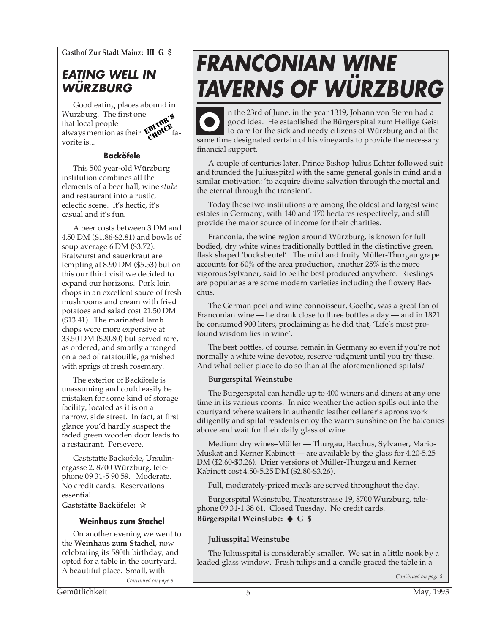**Gasthof Zur Stadt Mainz: III G \$**

## **EATING WELL IN WÜRZBURG**

Good eating places abound in<br>Würzburg. The first one Würzburg. The first one that local people always mention as their  $\mathbf{W}_{\mathbf{d}}\mathbf{W}$  favorite is... **EDITOR'S**<br>EDITOR'S CHOICE

#### **Backöfele**

This 500 year-old Würzburg institution combines all the elements of a beer hall, wine *stube* and restaurant into a rustic, eclectic scene. It's hectic, it's casual and it's fun.

A beer costs between 3 DM and 4.50 DM (\$1.86-\$2.81) and bowls of soup average 6 DM (\$3.72). Bratwurst and sauerkraut are tempting at 8.90 DM (\$5.53) but on this our third visit we decided to expand our horizons. Pork loin chops in an excellent sauce of fresh mushrooms and cream with fried potatoes and salad cost 21.50 DM (\$13.41). The marinated lamb chops were more expensive at 33.50 DM (\$20.80) but served rare, as ordered, and smartly arranged on a bed of ratatouille, garnished with sprigs of fresh rosemary.

The exterior of Backöfele is unassuming and could easily be mistaken for some kind of storage facility, located as it is on a narrow, side street. In fact, at first glance you'd hardly suspect the faded green wooden door leads to a restaurant. Persevere.

Gaststätte Backöfele, Ursulinergasse 2, 8700 Würzburg, telephone 09 31-5 90 59. Moderate. No credit cards. Reservations essential.

**Gaststätte Backöfele:** ✰

#### **Weinhaus zum Stachel**

On another evening we went to the **Weinhaus zum Stachel**, now celebrating its 580th birthday, and opted for a table in the courtyard. A beautiful place. Small, with *Continued on page 8 Continued on page 8 Continued on page 8* 

# **FRANCONIAN WINE TAVERNS OF WÜRZBURG**

n the 23rd of June, in the year 1319, Johann von Steren had a good idea. He established the Bürgerspital zum Heilige Geist to care for the sick and needy citizens of Würzburg and at the same time designated certain of his vineyards to provide the necessary financial support. **O**

A couple of centuries later, Prince Bishop Julius Echter followed suit and founded the Juliusspital with the same general goals in mind and a similar motivation: 'to acquire divine salvation through the mortal and the eternal through the transient'.

Today these two institutions are among the oldest and largest wine estates in Germany, with 140 and 170 hectares respectively, and still provide the major source of income for their charities.

Franconia, the wine region around Würzburg, is known for full bodied, dry white wines traditionally bottled in the distinctive green, flask shaped 'bocksbeutel'. The mild and fruity Müller-Thurgau grape accounts for 60% of the area production, another 25% is the more vigorous Sylvaner, said to be the best produced anywhere. Rieslings are popular as are some modern varieties including the flowery Bacchus.

The German poet and wine connoisseur, Goethe, was a great fan of Franconian wine — he drank close to three bottles a day — and in 1821 he consumed 900 liters, proclaiming as he did that, 'Life's most profound wisdom lies in wine'.

The best bottles, of course, remain in Germany so even if you're not normally a white wine devotee, reserve judgment until you try these. And what better place to do so than at the aforementioned spitals?

#### **Burgerspital Weinstube**

The Burgerspital can handle up to 400 winers and diners at any one time in its various rooms. In nice weather the action spills out into the courtyard where waiters in authentic leather cellarer's aprons work diligently and spital residents enjoy the warm sunshine on the balconies above and wait for their daily glass of wine.

Medium dry wines–Müller — Thurgau, Bacchus, Sylvaner, Mario-Muskat and Kerner Kabinett — are available by the glass for 4.20-5.25 DM (\$2.60-\$3.26). Drier versions of Müller-Thurgau and Kerner Kabinett cost 4.50-5.25 DM (\$2.80-\$3.26).

Full, moderately-priced meals are served throughout the day.

Bürgerspital Weinstube, Theaterstrasse 19, 8700 Würzburg, telephone 09 31-1 38 61. Closed Tuesday. No credit cards. **Bürgerspital Weinstube:** ◆ **G \$**

#### **Juliusspital Weinstube**

The Juliusspital is considerably smaller. We sat in a little nook by a leaded glass window. Fresh tulips and a candle graced the table in a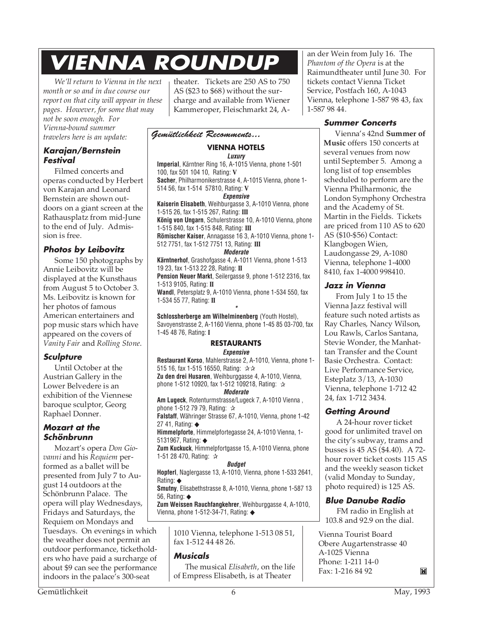# **VIENNA ROUNDUP**

*We'll return to Vienna in the next month or so and in due course our report on that city will appear in these pages. However, for some that may not be soon enough. For Vienna-bound summer travelers here is an update:*

#### **Karajan/Bernstein Festival**

Filmed concerts and operas conducted by Herbert von Karajan and Leonard Bernstein are shown outdoors on a giant screen at the Rathausplatz from mid-June to the end of July. Admission is free.

#### **Photos by Leibovitz**

Some 150 photographs by Annie Leibovitz will be displayed at the Kunsthaus from August 5 to October 3. Ms. Leibovitz is known for her photos of famous American entertainers and pop music stars which have appeared on the covers of *Vanity Fair* and *Rolling Stone*.

#### **Sculpture**

Until October at the Austrian Gallery in the Lower Belvedere is an exhibition of the Viennese baroque sculptor, Georg Raphael Donner.

#### **Mozart at the Schönbrunn**

Mozart's opera *Don Giovanni* and his *Requiem* performed as a ballet will be presented from July 7 to August 14 outdoors at the Schönbrunn Palace. The opera will play Wednesdays, Fridays and Saturdays, the Requiem on Mondays and Tuesdays. On evenings in which the weather does not permit an outdoor performance, ticketholders who have paid a surcharge of about \$9 can see the performance indoors in the palace's 300-seat

theater. Tickets are 250 AS to 750 AS (\$23 to \$68) without the surcharge and available from Wiener Kammeroper, Fleischmarkt 24, A-

#### *Gemütlichkeit Recomments...*

#### **VIENNA HOTELS**

**Luxury Imperial**, Kärntner Ring 16, A-1015 Vienna, phone 1-501 100, fax 501 104 10, Rating: **V Sacher**, Philharmonikerstrasse 4, A-1015 Vienna, phone 1- 514 56, fax 1-514 57810, Rating: **V**

**Expensive Kaiserin Elisabeth**, Weihburgasse 3, A-1010 Vienna, phone 1-515 26, fax 1-515 267, Rating: **III König von Ungarn**, Schulerstrasse 10, A-1010 Vienna, phone

1-515 840, fax 1-515 848, Rating: **III Römischer Kaiser**, Annagasse 16 3, A-1010 Vienna, phone 1- 512 7751, fax 1-512 7751 13, Rating: **III**

#### **Moderate**

**Kärntnerhof**, Grashofgasse 4, A-1011 Vienna, phone 1-513 19 23, fax 1-513 22 28, Rating: **II**

**Pension Neuer Markt**, Seilergasse 9, phone 1-512 2316, fax 1-513 9105, Rating: **II**

**Wandl**, Petersplatz 9, A-1010 Vienna, phone 1-534 550, fax 1-534 55 77, Rating: **II \***

**Schlossherberge am Wilhelminenberg** (Youth Hostel), Savoyenstrasse 2, A-1160 Vienna, phone 1-45 85 03-700, fax 1-45 48 76, Rating: **I**

#### **RESTAURANTS Expensive**

**Restaurant Korso**, Mahlerstrasse 2, A-1010, Vienna, phone 1- 515 16, fax 1-515 16550, Rating: ☆☆

**Zu den drei Husaren**, Weihburggasse 4, A-1010, Vienna, phone 1-512 10920, fax 1-512 109218, Rating: ☆

**Moderate**

**Am Lugeck**, Rotenturmstrasse/Lugeck 7, A-1010 Vienna , phone 1-512 79 79, Rating: ✰

**Falstaff**, Währinger Strasse 67, A-1010, Vienna, phone 1-42 27 41, Rating: ◆

**Himmelpforte**, Himmelpfortegasse 24, A-1010 Vienna, 1- 5131967, Rating: ◆

**Zum Kuckuck**, Himmelpfortgasse 15, A-1010 Vienna, phone 1-51 28 470, Rating: ✰

#### **Budget**

**Hopferl**, Naglergasse 13, A-1010, Vienna, phone 1-533 2641, Rating: ◆

**Smutny**, Elisabethstrasse 8, A-1010, Vienna, phone 1-587 13 56, Rating: ◆

**Zum Weissen Rauchfangkehrer**, Weihburggasse 4, A-1010, Vienna, phone 1-512-34-71, Rating: ◆

> 1010 Vienna, telephone 1-513 08 51, fax 1-512 44 48 26.

#### **Musicals**

The musical *Elisabeth*, on the life of Empress Elisabeth, is at Theater

an der Wein from July 16. The *Phantom of the Opera* is at the Raimundtheater until June 30. For tickets contact Vienna Ticket Service, Postfach 160, A-1043 Vienna, telephone 1-587 98 43, fax 1-587 98 44.

#### **Summer Concerts**

Vienna's 42nd **Summer of Music** offers 150 concerts at several venues from now until September 5. Among a long list of top ensembles scheduled to perform are the Vienna Philharmonic, the London Symphony Orchestra and the Academy of St. Martin in the Fields. Tickets are priced from 110 AS to 620 AS (\$10-\$56) Contact: Klangbogen Wien, Laudongasse 29, A-1080 Vienna, telephone 1-4000 8410, fax 1-4000 998410.

#### **Jazz in Vienna**

From July 1 to 15 the Vienna Jazz festival will feature such noted artists as Ray Charles, Nancy Wilson, Lou Rawls, Carlos Santana, Stevie Wonder, the Manhattan Transfer and the Count Basie Orchestra. Contact: Live Performance Service, Esteplatz 3/13, A-1030 Vienna, telephone 1-712 42 24, fax 1-712 3434.

#### **Getting Around**

A 24-hour rover ticket good for unlimited travel on the city's subway, trams and busses is 45 AS (\$4.40). A 72 hour rover ticket costs 115 AS and the weekly season ticket (valid Monday to Sunday, photo required) is 125 AS.

#### **Blue Danube Radio**

FM radio in English at 103.8 and 92.9 on the dial.

Vienna Tourist Board Obere Augartenstrasse 40 A-1025 Vienna Phone: 1-211 14-0 Fax: 1-216 84 92

M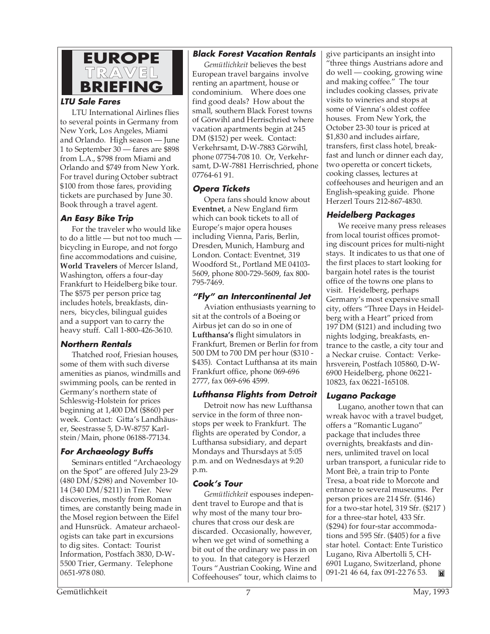

#### **LTU Sale Fares**

LTU International Airlines flies to several points in Germany from New York, Los Angeles, Miami and Orlando. High season — June 1 to September 30 — fares are \$898 from L.A., \$798 from Miami and Orlando and \$749 from New York. For travel during October subtract \$100 from those fares, providing tickets are purchased by June 30. Book through a travel agent.

#### **An Easy Bike Trip**

For the traveler who would like to do a little — but not too much bicycling in Europe, and not forgo fine accommodations and cuisine, **World Travelers** of Mercer Island, Washington, offers a four-day Frankfurt to Heidelberg bike tour. The \$575 per person price tag includes hotels, breakfasts, dinners, bicycles, bilingual guides and a support van to carry the heavy stuff. Call 1-800-426-3610.

#### **Northern Rentals**

Thatched roof, Friesian houses, some of them with such diverse amenities as pianos, windmills and swimming pools, can be rented in Germany's northern state of Schleswig-Holstein for prices beginning at 1,400 DM (\$860) per week. Contact: Gitta's Landhäuser, Seestrasse 5, D-W-8757 Karlstein/Main, phone 06188-77134.

#### **For Archaeology Buffs**

Seminars entitled "Archaeology on the Spot" are offered July 23-29 (480 DM/\$298) and November 10- 14 (340 DM/\$211) in Trier. New discoveries, mostly from Roman times, are constantly being made in the Mosel region between the Eifel and Hunsrück. Amateur archaeologists can take part in excursions to dig sites. Contact: Tourist Information, Postfach 3830, D-W-5500 Trier, Germany. Telephone 0651-978 080.

#### **Black Forest Vacation Rentals**

*Gemütlichkeit* believes the best European travel bargains involve renting an apartment, house or condominium. Where does one find good deals? How about the small, southern Black Forest towns of Görwihl and Herrischried where vacation apartments begin at 245 DM (\$152) per week. Contact: Verkehrsamt, D-W-7883 Görwihl, phone 07754-708 10. Or, Verkehrsamt, D-W-7881 Herrischried, phone 07764-61 91.

#### **Opera Tickets**

Opera fans should know about **Eventnet**, a New England firm which can book tickets to all of Europe's major opera houses including Vienna, Paris, Berlin, Dresden, Munich, Hamburg and London. Contact: Eventnet, 319 Woodford St., Portland ME 04103- 5609, phone 800-729-5609, fax 800- 795-7469.

#### **"Fly" an Intercontinental Jet**

Aviation enthusiasts yearning to sit at the controls of a Boeing or Airbus jet can do so in one of **Lufthansa's** flight simulators in Frankfurt, Bremen or Berlin for from 500 DM to 700 DM per hour (\$310 - \$435). Contact Lufthansa at its main Frankfurt office, phone 069-696 2777, fax 069-696 4599.

#### **Lufthansa Flights from Detroit**

Detroit now has new Lufthansa service in the form of three nonstops per week to Frankfurt. The flights are operated by Condor, a Lufthansa subsidiary, and depart Mondays and Thursdays at 5:05 p.m. and on Wednesdays at 9:20 p.m.

#### **Cook's Tour**

*Gemütlichkeit* espouses independent travel to Europe and that is why most of the many tour brochures that cross our desk are discarded. Occasionally, however, when we get wind of something a bit out of the ordinary we pass in on to you. In that category is Herzerl Tours "Austrian Cooking, Wine and Coffeehouses" tour, which claims to

give participants an insight into "three things Austrians adore and do well — cooking, growing wine and making coffee." The tour includes cooking classes, private visits to wineries and stops at some of Vienna's oldest coffee houses. From New York, the October 23-30 tour is priced at \$1,830 and includes airfare, transfers, first class hotel, breakfast and lunch or dinner each day, two operetta or concert tickets, cooking classes, lectures at coffeehouses and heurigen and an English-speaking guide. Phone Herzerl Tours 212-867-4830.

#### **Heidelberg Packages**

We receive many press releases from local tourist offices promoting discount prices for multi-night stays. It indicates to us that one of the first places to start looking for bargain hotel rates is the tourist office of the towns one plans to visit. Heidelberg, perhaps Germany's most expensive small city, offers "Three Days in Heidelberg with a Heart" priced from 197 DM (\$121) and including two nights lodging, breakfasts, entrance to the castle, a city tour and a Neckar cruise. Contact: Verkehrsverein, Postfach 105860, D-W-6900 Heidelberg, phone 06221- 10823, fax 06221-165108.

#### **Lugano Package**

Lugano, another town that can wreak havoc with a travel budget, offers a "Romantic Lugano" package that includes three overnights, breakfasts and dinners, unlimited travel on local urban transport, a funicular ride to Mont Brè, a train trip to Ponte Tresa, a boat ride to Morcote and entrance to several museums. Per person prices are 214 Sfr. (\$146) for a two-star hotel, 319 Sfr. (\$217 ) for a three-star hotel, 433 Sfr. (\$294) for four-star accommodations and 595 Sfr. (\$405) for a five star hotel. Contact: Ente Turistico Lugano, Riva Albertolli 5, CH-6901 Lugano, Switzerland, phone 091-21 46 64, fax 091-22 76 53. **IN**